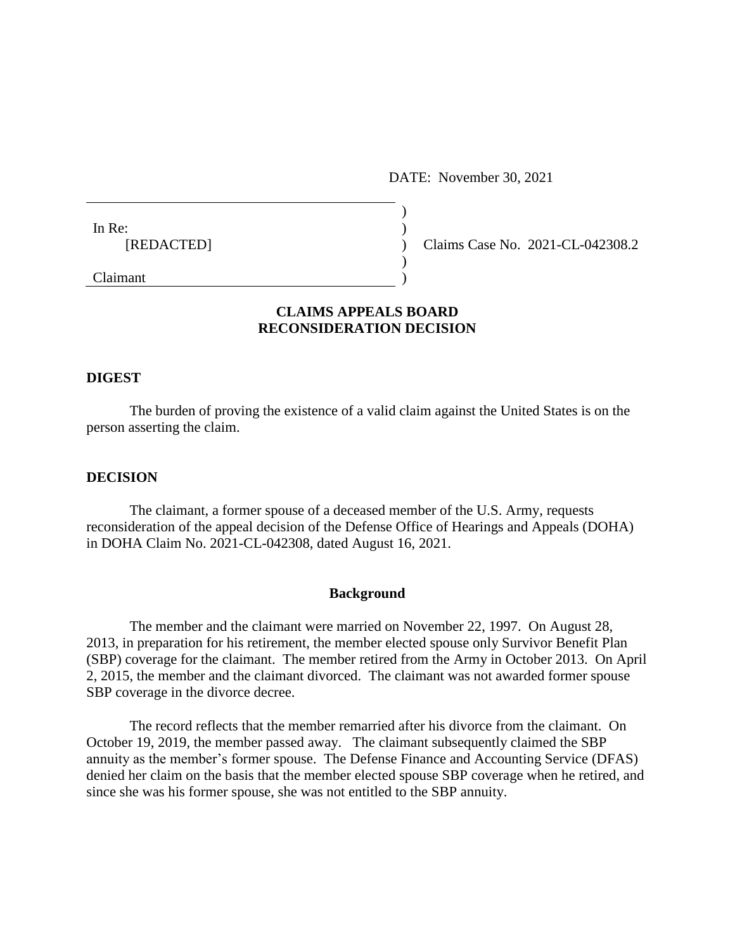DATE: November 30, 2021

| In Re:     |  |
|------------|--|
| [REDACTED] |  |
|            |  |
| C1         |  |

(c) Claims Case No. 2021-CL-042308.2

Claimant )

# **CLAIMS APPEALS BOARD RECONSIDERATION DECISION**

### **DIGEST**

The burden of proving the existence of a valid claim against the United States is on the person asserting the claim.

#### **DECISION**

The claimant, a former spouse of a deceased member of the U.S. Army, requests reconsideration of the appeal decision of the Defense Office of Hearings and Appeals (DOHA) in DOHA Claim No. 2021-CL-042308, dated August 16, 2021.

#### **Background**

The member and the claimant were married on November 22, 1997. On August 28, 2013, in preparation for his retirement, the member elected spouse only Survivor Benefit Plan (SBP) coverage for the claimant. The member retired from the Army in October 2013. On April 2, 2015, the member and the claimant divorced. The claimant was not awarded former spouse SBP coverage in the divorce decree.

The record reflects that the member remarried after his divorce from the claimant. On October 19, 2019, the member passed away. The claimant subsequently claimed the SBP annuity as the member's former spouse. The Defense Finance and Accounting Service (DFAS) denied her claim on the basis that the member elected spouse SBP coverage when he retired, and since she was his former spouse, she was not entitled to the SBP annuity.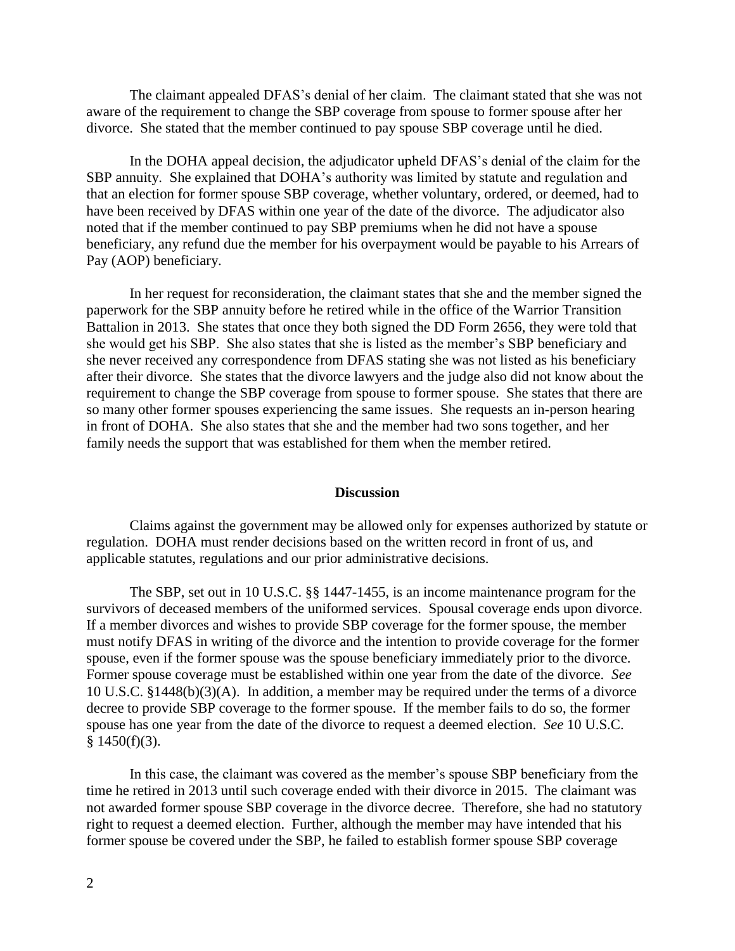The claimant appealed DFAS's denial of her claim. The claimant stated that she was not aware of the requirement to change the SBP coverage from spouse to former spouse after her divorce. She stated that the member continued to pay spouse SBP coverage until he died.

In the DOHA appeal decision, the adjudicator upheld DFAS's denial of the claim for the SBP annuity. She explained that DOHA's authority was limited by statute and regulation and that an election for former spouse SBP coverage, whether voluntary, ordered, or deemed, had to have been received by DFAS within one year of the date of the divorce. The adjudicator also noted that if the member continued to pay SBP premiums when he did not have a spouse beneficiary, any refund due the member for his overpayment would be payable to his Arrears of Pay (AOP) beneficiary.

In her request for reconsideration, the claimant states that she and the member signed the paperwork for the SBP annuity before he retired while in the office of the Warrior Transition Battalion in 2013. She states that once they both signed the DD Form 2656, they were told that she would get his SBP. She also states that she is listed as the member's SBP beneficiary and she never received any correspondence from DFAS stating she was not listed as his beneficiary after their divorce. She states that the divorce lawyers and the judge also did not know about the requirement to change the SBP coverage from spouse to former spouse. She states that there are so many other former spouses experiencing the same issues. She requests an in-person hearing in front of DOHA. She also states that she and the member had two sons together, and her family needs the support that was established for them when the member retired.

#### **Discussion**

Claims against the government may be allowed only for expenses authorized by statute or regulation. DOHA must render decisions based on the written record in front of us, and applicable statutes, regulations and our prior administrative decisions.

The SBP, set out in 10 U.S.C. §§ 1447-1455, is an income maintenance program for the survivors of deceased members of the uniformed services. Spousal coverage ends upon divorce. If a member divorces and wishes to provide SBP coverage for the former spouse, the member must notify DFAS in writing of the divorce and the intention to provide coverage for the former spouse, even if the former spouse was the spouse beneficiary immediately prior to the divorce. Former spouse coverage must be established within one year from the date of the divorce. *See* 10 U.S.C. §1448(b)(3)(A). In addition, a member may be required under the terms of a divorce decree to provide SBP coverage to the former spouse. If the member fails to do so, the former spouse has one year from the date of the divorce to request a deemed election. *See* 10 U.S.C.  $$1450(f)(3).$ 

In this case, the claimant was covered as the member's spouse SBP beneficiary from the time he retired in 2013 until such coverage ended with their divorce in 2015. The claimant was not awarded former spouse SBP coverage in the divorce decree. Therefore, she had no statutory right to request a deemed election. Further, although the member may have intended that his former spouse be covered under the SBP, he failed to establish former spouse SBP coverage